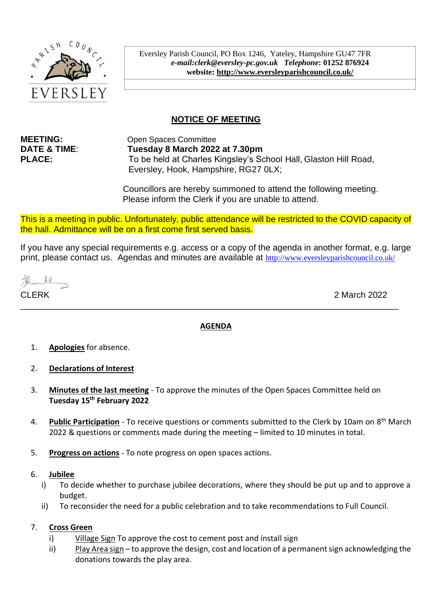

Eversley Parish Council, PO Box 1246, Yateley, Hampshire GU47 7FR *e-mail:clerk@eversley-pc.gov.uk**Telephone***: 01252 876924 website:<http://www.eversleyparishcouncil.co.uk/>**

# **NOTICE OF MEETING**

**MEETING:** Open Spaces Committee **DATE & TIME**: **Tuesday 8 March 2022 at 7.30pm PLACE:** To be held at Charles Kingsley's School Hall, Glaston Hill Road, Eversley, Hook, Hampshire, RG27 0LX;

> Councillors are hereby summoned to attend the following meeting. Please inform the Clerk if you are unable to attend.

This is a meeting in public. Unfortunately, public attendance will be restricted to the COVID capacity of the hall. Admittance will be on a first come first served basis.

If you have any special requirements e.g. access or a copy of the agenda in another format, e.g. large print, please contact us. Agendas and minutes are available at http://www.eversleyparishcouncil.co.uk/

untl

CLERK 2 March 2022

## **AGENDA**

\_\_\_\_\_\_\_\_\_\_\_\_\_\_\_\_\_\_\_\_\_\_\_\_\_\_\_\_\_\_\_\_\_\_\_\_\_\_\_\_\_\_\_\_\_\_\_\_\_\_\_\_\_\_\_\_\_\_\_\_\_\_\_\_\_\_\_\_\_\_\_\_\_\_\_\_\_\_

- 1. **Apologies** for absence.
- 2. **Declarations of Interest**
- 3. **Minutes of the last meeting** To approve the minutes of the Open Spaces Committee held on **Tuesday 15th February 2022**
- 4. **Public Participation** To receive questions or comments submitted to the Clerk by 10am on 8<sup>th</sup> March 2022 & questions or comments made during the meeting – limited to 10 minutes in total.
- 5. **Progress on actions** To note progress on open spaces actions.

## 6. **Jubilee**

- i) To decide whether to purchase jubilee decorations, where they should be put up and to approve a budget.
- ii) To reconsider the need for a public celebration and to take recommendations to Full Council.

## 7. **Cross Green**

- i) Village Sign To approve the cost to cement post and install sign
- ii) Play Area sign to approve the design, cost and location of a permanent sign acknowledging the donations towards the play area.